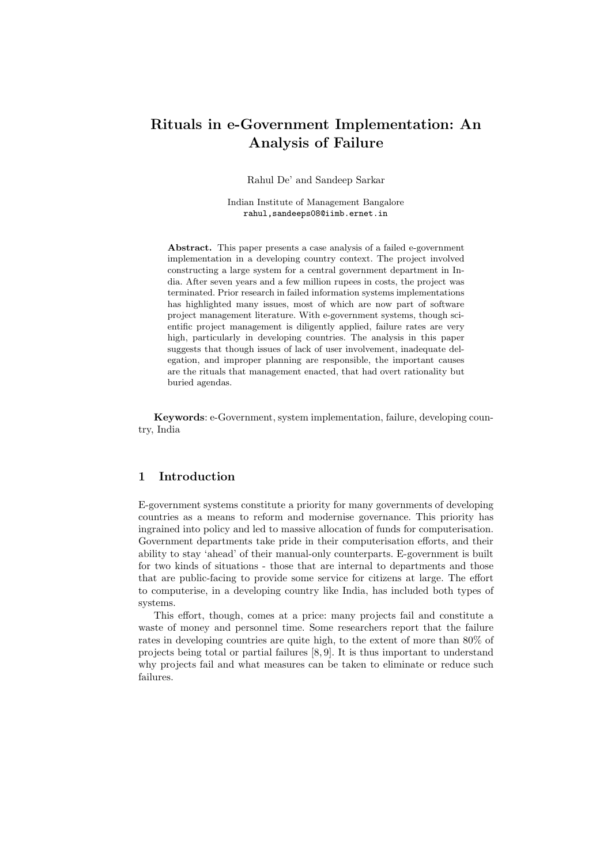# Rituals in e-Government Implementation: An Analysis of Failure

Rahul De' and Sandeep Sarkar

Indian Institute of Management Bangalore rahul,sandeeps08@iimb.ernet.in

Abstract. This paper presents a case analysis of a failed e-government implementation in a developing country context. The project involved constructing a large system for a central government department in India. After seven years and a few million rupees in costs, the project was terminated. Prior research in failed information systems implementations has highlighted many issues, most of which are now part of software project management literature. With e-government systems, though scientific project management is diligently applied, failure rates are very high, particularly in developing countries. The analysis in this paper suggests that though issues of lack of user involvement, inadequate delegation, and improper planning are responsible, the important causes are the rituals that management enacted, that had overt rationality but buried agendas.

Keywords: e-Government, system implementation, failure, developing country, India

### 1 Introduction

E-government systems constitute a priority for many governments of developing countries as a means to reform and modernise governance. This priority has ingrained into policy and led to massive allocation of funds for computerisation. Government departments take pride in their computerisation efforts, and their ability to stay 'ahead' of their manual-only counterparts. E-government is built for two kinds of situations - those that are internal to departments and those that are public-facing to provide some service for citizens at large. The effort to computerise, in a developing country like India, has included both types of systems.

This effort, though, comes at a price: many projects fail and constitute a waste of money and personnel time. Some researchers report that the failure rates in developing countries are quite high, to the extent of more than 80% of projects being total or partial failures [8, 9]. It is thus important to understand why projects fail and what measures can be taken to eliminate or reduce such failures.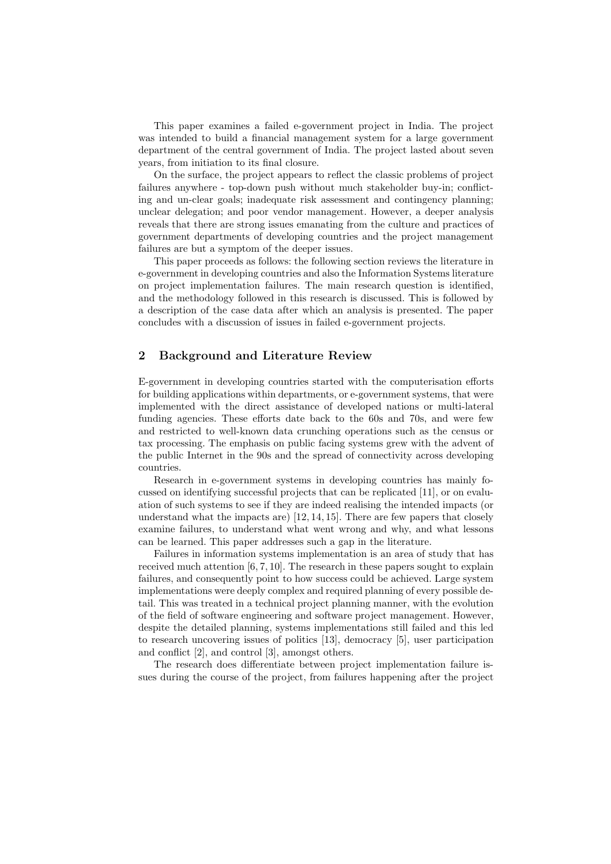This paper examines a failed e-government project in India. The project was intended to build a financial management system for a large government department of the central government of India. The project lasted about seven years, from initiation to its final closure.

On the surface, the project appears to reflect the classic problems of project failures anywhere - top-down push without much stakeholder buy-in; conflicting and un-clear goals; inadequate risk assessment and contingency planning; unclear delegation; and poor vendor management. However, a deeper analysis reveals that there are strong issues emanating from the culture and practices of government departments of developing countries and the project management failures are but a symptom of the deeper issues.

This paper proceeds as follows: the following section reviews the literature in e-government in developing countries and also the Information Systems literature on project implementation failures. The main research question is identified, and the methodology followed in this research is discussed. This is followed by a description of the case data after which an analysis is presented. The paper concludes with a discussion of issues in failed e-government projects.

#### 2 Background and Literature Review

E-government in developing countries started with the computerisation efforts for building applications within departments, or e-government systems, that were implemented with the direct assistance of developed nations or multi-lateral funding agencies. These efforts date back to the 60s and 70s, and were few and restricted to well-known data crunching operations such as the census or tax processing. The emphasis on public facing systems grew with the advent of the public Internet in the 90s and the spread of connectivity across developing countries.

Research in e-government systems in developing countries has mainly focussed on identifying successful projects that can be replicated [11], or on evaluation of such systems to see if they are indeed realising the intended impacts (or understand what the impacts are) [12, 14, 15]. There are few papers that closely examine failures, to understand what went wrong and why, and what lessons can be learned. This paper addresses such a gap in the literature.

Failures in information systems implementation is an area of study that has received much attention  $[6, 7, 10]$ . The research in these papers sought to explain failures, and consequently point to how success could be achieved. Large system implementations were deeply complex and required planning of every possible detail. This was treated in a technical project planning manner, with the evolution of the field of software engineering and software project management. However, despite the detailed planning, systems implementations still failed and this led to research uncovering issues of politics [13], democracy [5], user participation and conflict [2], and control [3], amongst others.

The research does differentiate between project implementation failure issues during the course of the project, from failures happening after the project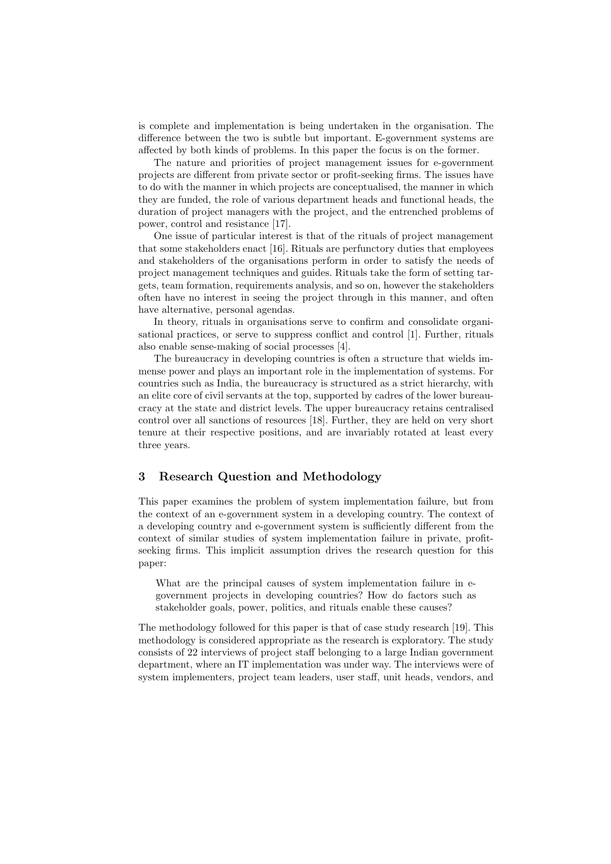is complete and implementation is being undertaken in the organisation. The difference between the two is subtle but important. E-government systems are affected by both kinds of problems. In this paper the focus is on the former.

The nature and priorities of project management issues for e-government projects are different from private sector or profit-seeking firms. The issues have to do with the manner in which projects are conceptualised, the manner in which they are funded, the role of various department heads and functional heads, the duration of project managers with the project, and the entrenched problems of power, control and resistance [17].

One issue of particular interest is that of the rituals of project management that some stakeholders enact [16]. Rituals are perfunctory duties that employees and stakeholders of the organisations perform in order to satisfy the needs of project management techniques and guides. Rituals take the form of setting targets, team formation, requirements analysis, and so on, however the stakeholders often have no interest in seeing the project through in this manner, and often have alternative, personal agendas.

In theory, rituals in organisations serve to confirm and consolidate organisational practices, or serve to suppress conflict and control [1]. Further, rituals also enable sense-making of social processes [4].

The bureaucracy in developing countries is often a structure that wields immense power and plays an important role in the implementation of systems. For countries such as India, the bureaucracy is structured as a strict hierarchy, with an elite core of civil servants at the top, supported by cadres of the lower bureaucracy at the state and district levels. The upper bureaucracy retains centralised control over all sanctions of resources [18]. Further, they are held on very short tenure at their respective positions, and are invariably rotated at least every three years.

## 3 Research Question and Methodology

This paper examines the problem of system implementation failure, but from the context of an e-government system in a developing country. The context of a developing country and e-government system is sufficiently different from the context of similar studies of system implementation failure in private, profitseeking firms. This implicit assumption drives the research question for this paper:

What are the principal causes of system implementation failure in egovernment projects in developing countries? How do factors such as stakeholder goals, power, politics, and rituals enable these causes?

The methodology followed for this paper is that of case study research [19]. This methodology is considered appropriate as the research is exploratory. The study consists of 22 interviews of project staff belonging to a large Indian government department, where an IT implementation was under way. The interviews were of system implementers, project team leaders, user staff, unit heads, vendors, and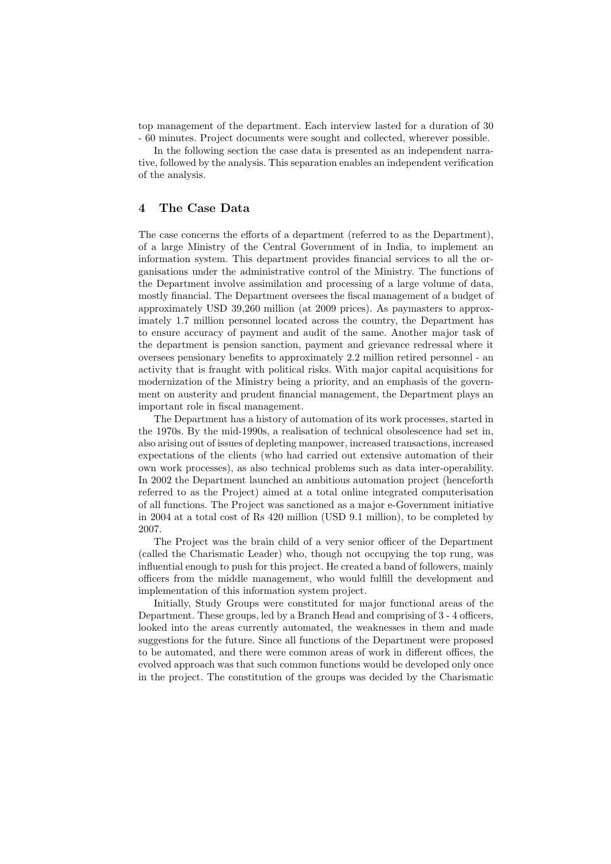top management of the department. Each interview lasted for a duration of 30 - 60 minutes. Project documents were sought and collected, wherever possible.

In the following section the case data is presented as an independent narrative, followed by the analysis. This separation enables an independent verification of the analysis.

### 4 The Case Data

The case concerns the efforts of a department (referred to as the Department), of a large Ministry of the Central Government of in India, to implement an information system. This department provides financial services to all the organisations under the administrative control of the Ministry. The functions of the Department involve assimilation and processing of a large volume of data, mostly financial. The Department oversees the fiscal management of a budget of approximately USD 39,260 million (at 2009 prices). As paymasters to approximately 1.7 million personnel located across the country, the Department has to ensure accuracy of payment and audit of the same. Another major task of the department is pension sanction, payment and grievance redressal where it oversees pensionary benefits to approximately 2.2 million retired personnel - an activity that is fraught with political risks. With major capital acquisitions for modernization of the Ministry being a priority, and an emphasis of the government on austerity and prudent financial management, the Department plays an important role in fiscal management.

The Department has a history of automation of its work processes, started in the 1970s. By the mid-1990s, a realisation of technical obsolescence had set in, also arising out of issues of depleting manpower, increased transactions, increased expectations of the clients (who had carried out extensive automation of their own work processes), as also technical problems such as data inter-operability. In 2002 the Department launched an ambitious automation project (henceforth referred to as the Project) aimed at a total online integrated computerisation of all functions. The Project was sanctioned as a major e-Government initiative in 2004 at a total cost of Rs 420 million (USD 9.1 million), to be completed by 2007.

The Project was the brain child of a very senior officer of the Department (called the Charismatic Leader) who, though not occupying the top rung, was influential enough to push for this project. He created a band of followers, mainly officers from the middle management, who would fulfill the development and implementation of this information system project.

Initially, Study Groups were constituted for major functional areas of the Department. These groups, led by a Branch Head and comprising of 3 - 4 officers, looked into the areas currently automated, the weaknesses in them and made suggestions for the future. Since all functions of the Department were proposed to be automated, and there were common areas of work in different offices, the evolved approach was that such common functions would be developed only once in the project. The constitution of the groups was decided by the Charismatic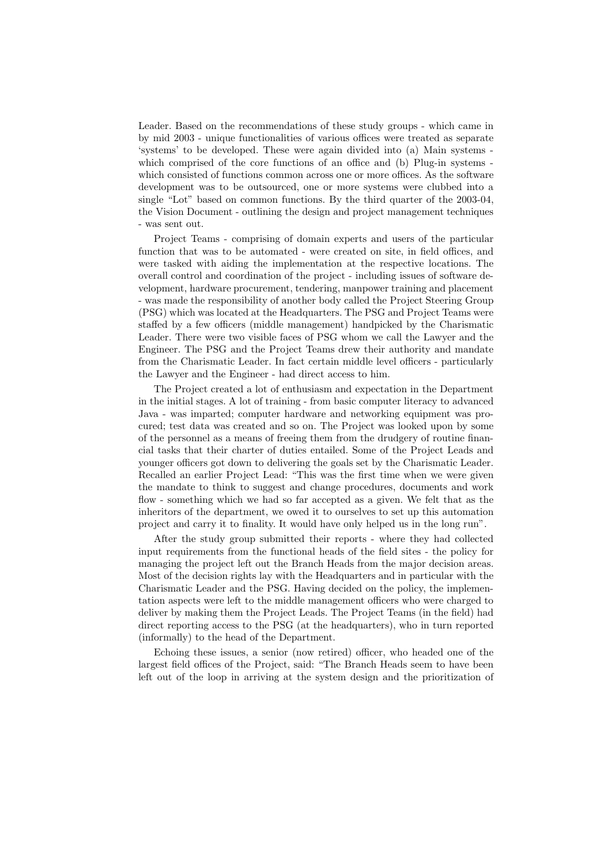Leader. Based on the recommendations of these study groups - which came in by mid 2003 - unique functionalities of various offices were treated as separate 'systems' to be developed. These were again divided into (a) Main systems which comprised of the core functions of an office and (b) Plug-in systems which consisted of functions common across one or more offices. As the software development was to be outsourced, one or more systems were clubbed into a single "Lot" based on common functions. By the third quarter of the 2003-04, the Vision Document - outlining the design and project management techniques - was sent out.

Project Teams - comprising of domain experts and users of the particular function that was to be automated - were created on site, in field offices, and were tasked with aiding the implementation at the respective locations. The overall control and coordination of the project - including issues of software development, hardware procurement, tendering, manpower training and placement - was made the responsibility of another body called the Project Steering Group (PSG) which was located at the Headquarters. The PSG and Project Teams were staffed by a few officers (middle management) handpicked by the Charismatic Leader. There were two visible faces of PSG whom we call the Lawyer and the Engineer. The PSG and the Project Teams drew their authority and mandate from the Charismatic Leader. In fact certain middle level officers - particularly the Lawyer and the Engineer - had direct access to him.

The Project created a lot of enthusiasm and expectation in the Department in the initial stages. A lot of training - from basic computer literacy to advanced Java - was imparted; computer hardware and networking equipment was procured; test data was created and so on. The Project was looked upon by some of the personnel as a means of freeing them from the drudgery of routine financial tasks that their charter of duties entailed. Some of the Project Leads and younger officers got down to delivering the goals set by the Charismatic Leader. Recalled an earlier Project Lead: "This was the first time when we were given the mandate to think to suggest and change procedures, documents and work flow - something which we had so far accepted as a given. We felt that as the inheritors of the department, we owed it to ourselves to set up this automation project and carry it to finality. It would have only helped us in the long run".

After the study group submitted their reports - where they had collected input requirements from the functional heads of the field sites - the policy for managing the project left out the Branch Heads from the major decision areas. Most of the decision rights lay with the Headquarters and in particular with the Charismatic Leader and the PSG. Having decided on the policy, the implementation aspects were left to the middle management officers who were charged to deliver by making them the Project Leads. The Project Teams (in the field) had direct reporting access to the PSG (at the headquarters), who in turn reported (informally) to the head of the Department.

Echoing these issues, a senior (now retired) officer, who headed one of the largest field offices of the Project, said: "The Branch Heads seem to have been left out of the loop in arriving at the system design and the prioritization of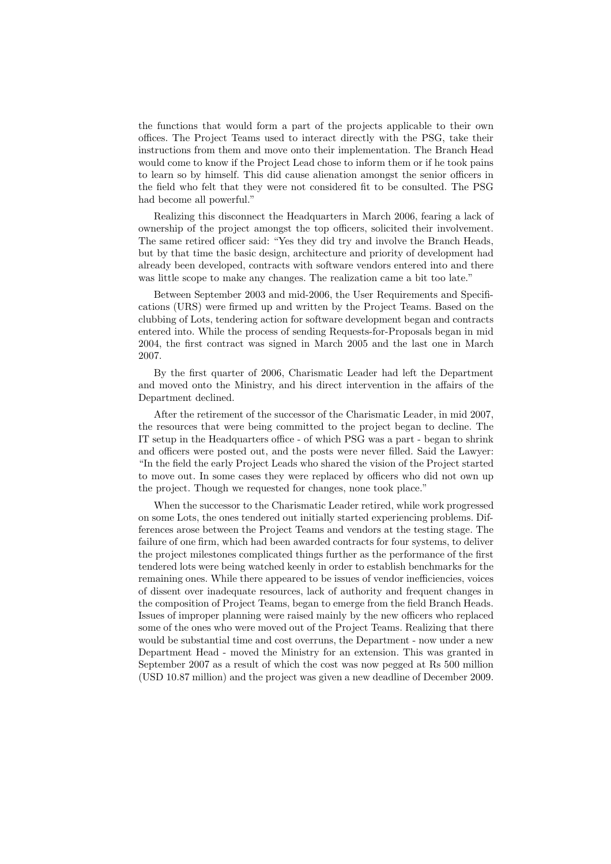the functions that would form a part of the projects applicable to their own offices. The Project Teams used to interact directly with the PSG, take their instructions from them and move onto their implementation. The Branch Head would come to know if the Project Lead chose to inform them or if he took pains to learn so by himself. This did cause alienation amongst the senior officers in the field who felt that they were not considered fit to be consulted. The PSG had become all powerful."

Realizing this disconnect the Headquarters in March 2006, fearing a lack of ownership of the project amongst the top officers, solicited their involvement. The same retired officer said: "Yes they did try and involve the Branch Heads, but by that time the basic design, architecture and priority of development had already been developed, contracts with software vendors entered into and there was little scope to make any changes. The realization came a bit too late."

Between September 2003 and mid-2006, the User Requirements and Specifications (URS) were firmed up and written by the Project Teams. Based on the clubbing of Lots, tendering action for software development began and contracts entered into. While the process of sending Requests-for-Proposals began in mid 2004, the first contract was signed in March 2005 and the last one in March 2007.

By the first quarter of 2006, Charismatic Leader had left the Department and moved onto the Ministry, and his direct intervention in the affairs of the Department declined.

After the retirement of the successor of the Charismatic Leader, in mid 2007, the resources that were being committed to the project began to decline. The IT setup in the Headquarters office - of which PSG was a part - began to shrink and officers were posted out, and the posts were never filled. Said the Lawyer: "In the field the early Project Leads who shared the vision of the Project started to move out. In some cases they were replaced by officers who did not own up the project. Though we requested for changes, none took place."

When the successor to the Charismatic Leader retired, while work progressed on some Lots, the ones tendered out initially started experiencing problems. Differences arose between the Project Teams and vendors at the testing stage. The failure of one firm, which had been awarded contracts for four systems, to deliver the project milestones complicated things further as the performance of the first tendered lots were being watched keenly in order to establish benchmarks for the remaining ones. While there appeared to be issues of vendor inefficiencies, voices of dissent over inadequate resources, lack of authority and frequent changes in the composition of Project Teams, began to emerge from the field Branch Heads. Issues of improper planning were raised mainly by the new officers who replaced some of the ones who were moved out of the Project Teams. Realizing that there would be substantial time and cost overruns, the Department - now under a new Department Head - moved the Ministry for an extension. This was granted in September 2007 as a result of which the cost was now pegged at Rs 500 million (USD 10.87 million) and the project was given a new deadline of December 2009.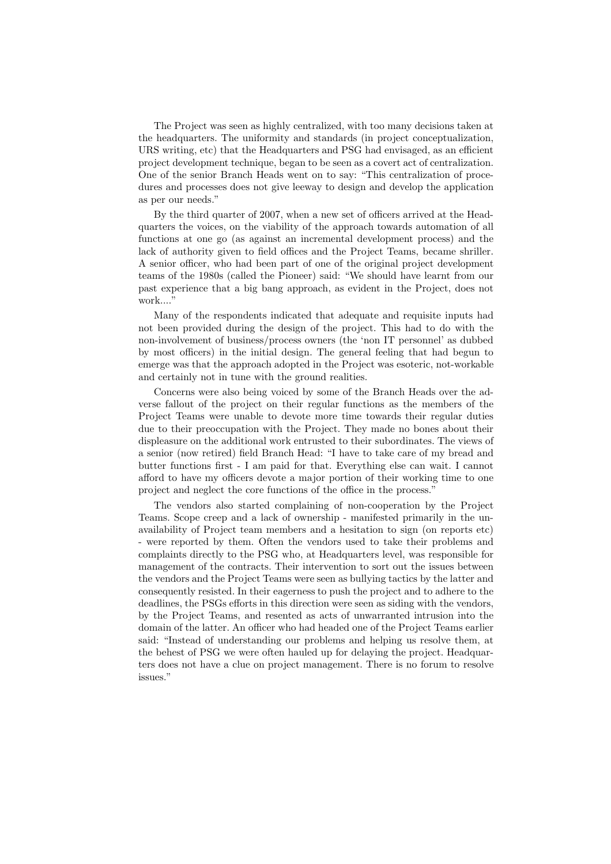The Project was seen as highly centralized, with too many decisions taken at the headquarters. The uniformity and standards (in project conceptualization, URS writing, etc) that the Headquarters and PSG had envisaged, as an efficient project development technique, began to be seen as a covert act of centralization. One of the senior Branch Heads went on to say: "This centralization of procedures and processes does not give leeway to design and develop the application as per our needs."

By the third quarter of 2007, when a new set of officers arrived at the Headquarters the voices, on the viability of the approach towards automation of all functions at one go (as against an incremental development process) and the lack of authority given to field offices and the Project Teams, became shriller. A senior officer, who had been part of one of the original project development teams of the 1980s (called the Pioneer) said: "We should have learnt from our past experience that a big bang approach, as evident in the Project, does not work...."

Many of the respondents indicated that adequate and requisite inputs had not been provided during the design of the project. This had to do with the non-involvement of business/process owners (the 'non IT personnel' as dubbed by most officers) in the initial design. The general feeling that had begun to emerge was that the approach adopted in the Project was esoteric, not-workable and certainly not in tune with the ground realities.

Concerns were also being voiced by some of the Branch Heads over the adverse fallout of the project on their regular functions as the members of the Project Teams were unable to devote more time towards their regular duties due to their preoccupation with the Project. They made no bones about their displeasure on the additional work entrusted to their subordinates. The views of a senior (now retired) field Branch Head: "I have to take care of my bread and butter functions first - I am paid for that. Everything else can wait. I cannot afford to have my officers devote a major portion of their working time to one project and neglect the core functions of the office in the process."

The vendors also started complaining of non-cooperation by the Project Teams. Scope creep and a lack of ownership - manifested primarily in the unavailability of Project team members and a hesitation to sign (on reports etc) - were reported by them. Often the vendors used to take their problems and complaints directly to the PSG who, at Headquarters level, was responsible for management of the contracts. Their intervention to sort out the issues between the vendors and the Project Teams were seen as bullying tactics by the latter and consequently resisted. In their eagerness to push the project and to adhere to the deadlines, the PSGs efforts in this direction were seen as siding with the vendors, by the Project Teams, and resented as acts of unwarranted intrusion into the domain of the latter. An officer who had headed one of the Project Teams earlier said: "Instead of understanding our problems and helping us resolve them, at the behest of PSG we were often hauled up for delaying the project. Headquarters does not have a clue on project management. There is no forum to resolve issues."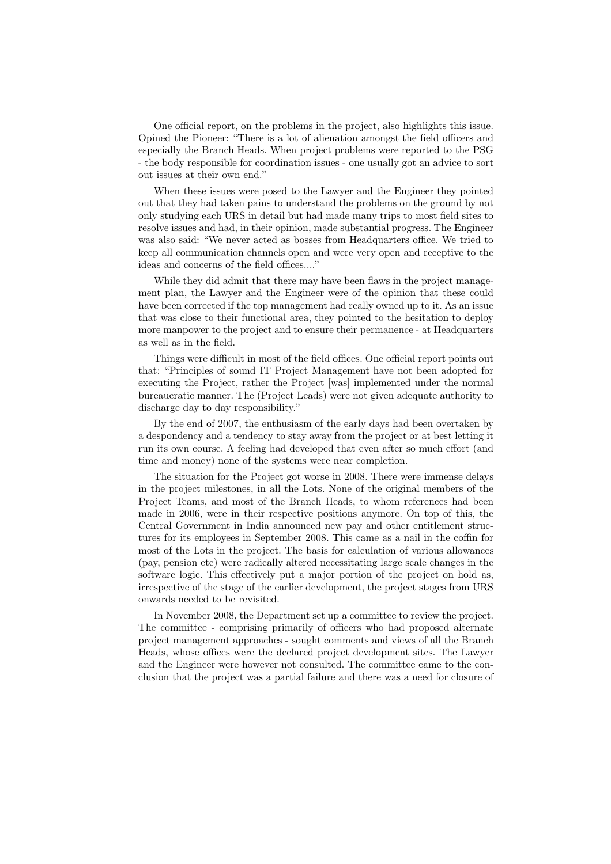One official report, on the problems in the project, also highlights this issue. Opined the Pioneer: "There is a lot of alienation amongst the field officers and especially the Branch Heads. When project problems were reported to the PSG - the body responsible for coordination issues - one usually got an advice to sort out issues at their own end."

When these issues were posed to the Lawyer and the Engineer they pointed out that they had taken pains to understand the problems on the ground by not only studying each URS in detail but had made many trips to most field sites to resolve issues and had, in their opinion, made substantial progress. The Engineer was also said: "We never acted as bosses from Headquarters office. We tried to keep all communication channels open and were very open and receptive to the ideas and concerns of the field offices...."

While they did admit that there may have been flaws in the project management plan, the Lawyer and the Engineer were of the opinion that these could have been corrected if the top management had really owned up to it. As an issue that was close to their functional area, they pointed to the hesitation to deploy more manpower to the project and to ensure their permanence - at Headquarters as well as in the field.

Things were difficult in most of the field offices. One official report points out that: "Principles of sound IT Project Management have not been adopted for executing the Project, rather the Project [was] implemented under the normal bureaucratic manner. The (Project Leads) were not given adequate authority to discharge day to day responsibility."

By the end of 2007, the enthusiasm of the early days had been overtaken by a despondency and a tendency to stay away from the project or at best letting it run its own course. A feeling had developed that even after so much effort (and time and money) none of the systems were near completion.

The situation for the Project got worse in 2008. There were immense delays in the project milestones, in all the Lots. None of the original members of the Project Teams, and most of the Branch Heads, to whom references had been made in 2006, were in their respective positions anymore. On top of this, the Central Government in India announced new pay and other entitlement structures for its employees in September 2008. This came as a nail in the coffin for most of the Lots in the project. The basis for calculation of various allowances (pay, pension etc) were radically altered necessitating large scale changes in the software logic. This effectively put a major portion of the project on hold as, irrespective of the stage of the earlier development, the project stages from URS onwards needed to be revisited.

In November 2008, the Department set up a committee to review the project. The committee - comprising primarily of officers who had proposed alternate project management approaches - sought comments and views of all the Branch Heads, whose offices were the declared project development sites. The Lawyer and the Engineer were however not consulted. The committee came to the conclusion that the project was a partial failure and there was a need for closure of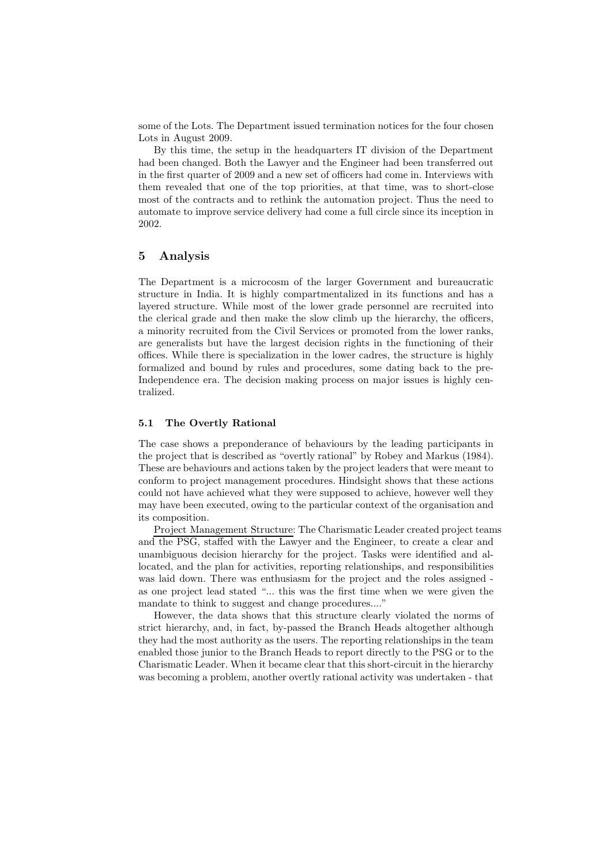some of the Lots. The Department issued termination notices for the four chosen Lots in August 2009.

By this time, the setup in the headquarters IT division of the Department had been changed. Both the Lawyer and the Engineer had been transferred out in the first quarter of 2009 and a new set of officers had come in. Interviews with them revealed that one of the top priorities, at that time, was to short-close most of the contracts and to rethink the automation project. Thus the need to automate to improve service delivery had come a full circle since its inception in 2002.

### 5 Analysis

The Department is a microcosm of the larger Government and bureaucratic structure in India. It is highly compartmentalized in its functions and has a layered structure. While most of the lower grade personnel are recruited into the clerical grade and then make the slow climb up the hierarchy, the officers, a minority recruited from the Civil Services or promoted from the lower ranks, are generalists but have the largest decision rights in the functioning of their offices. While there is specialization in the lower cadres, the structure is highly formalized and bound by rules and procedures, some dating back to the pre-Independence era. The decision making process on major issues is highly centralized.

#### 5.1 The Overtly Rational

The case shows a preponderance of behaviours by the leading participants in the project that is described as "overtly rational" by Robey and Markus (1984). These are behaviours and actions taken by the project leaders that were meant to conform to project management procedures. Hindsight shows that these actions could not have achieved what they were supposed to achieve, however well they may have been executed, owing to the particular context of the organisation and its composition.

Project Management Structure: The Charismatic Leader created project teams and the PSG, staffed with the Lawyer and the Engineer, to create a clear and unambiguous decision hierarchy for the project. Tasks were identified and allocated, and the plan for activities, reporting relationships, and responsibilities was laid down. There was enthusiasm for the project and the roles assigned as one project lead stated "... this was the first time when we were given the mandate to think to suggest and change procedures...."

However, the data shows that this structure clearly violated the norms of strict hierarchy, and, in fact, by-passed the Branch Heads altogether although they had the most authority as the users. The reporting relationships in the team enabled those junior to the Branch Heads to report directly to the PSG or to the Charismatic Leader. When it became clear that this short-circuit in the hierarchy was becoming a problem, another overtly rational activity was undertaken - that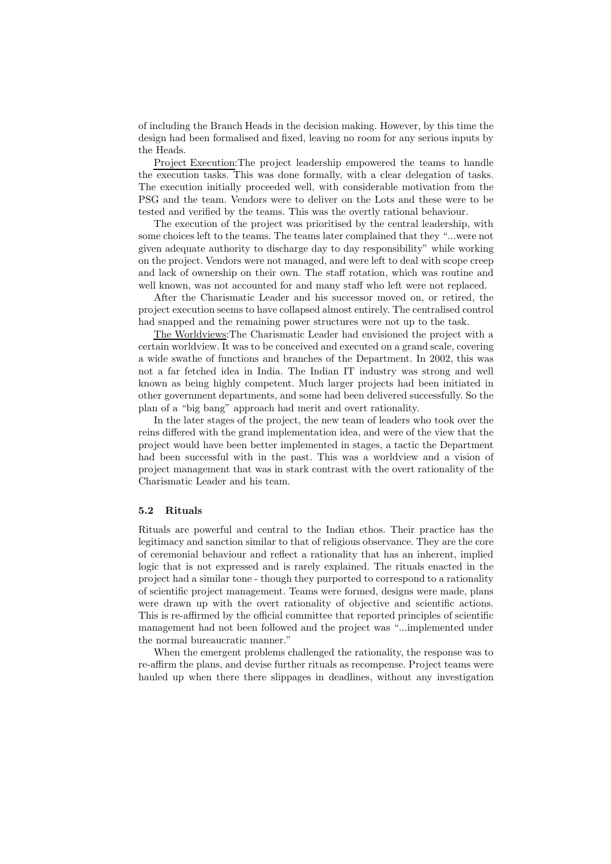of including the Branch Heads in the decision making. However, by this time the design had been formalised and fixed, leaving no room for any serious inputs by the Heads.

Project Execution:The project leadership empowered the teams to handle the execution tasks. This was done formally, with a clear delegation of tasks. The execution initially proceeded well, with considerable motivation from the PSG and the team. Vendors were to deliver on the Lots and these were to be tested and verified by the teams. This was the overtly rational behaviour.

The execution of the project was prioritised by the central leadership, with some choices left to the teams. The teams later complained that they "...were not given adequate authority to discharge day to day responsibility" while working on the project. Vendors were not managed, and were left to deal with scope creep and lack of ownership on their own. The staff rotation, which was routine and well known, was not accounted for and many staff who left were not replaced.

After the Charismatic Leader and his successor moved on, or retired, the project execution seems to have collapsed almost entirely. The centralised control had snapped and the remaining power structures were not up to the task.

The Worldviews:The Charismatic Leader had envisioned the project with a certain worldview. It was to be conceived and executed on a grand scale, covering a wide swathe of functions and branches of the Department. In 2002, this was not a far fetched idea in India. The Indian IT industry was strong and well known as being highly competent. Much larger projects had been initiated in other government departments, and some had been delivered successfully. So the plan of a "big bang" approach had merit and overt rationality.

In the later stages of the project, the new team of leaders who took over the reins differed with the grand implementation idea, and were of the view that the project would have been better implemented in stages, a tactic the Department had been successful with in the past. This was a worldview and a vision of project management that was in stark contrast with the overt rationality of the Charismatic Leader and his team.

#### 5.2 Rituals

Rituals are powerful and central to the Indian ethos. Their practice has the legitimacy and sanction similar to that of religious observance. They are the core of ceremonial behaviour and reflect a rationality that has an inherent, implied logic that is not expressed and is rarely explained. The rituals enacted in the project had a similar tone - though they purported to correspond to a rationality of scientific project management. Teams were formed, designs were made, plans were drawn up with the overt rationality of objective and scientific actions. This is re-affirmed by the official committee that reported principles of scientific management had not been followed and the project was "...implemented under the normal bureaucratic manner."

When the emergent problems challenged the rationality, the response was to re-affirm the plans, and devise further rituals as recompense. Project teams were hauled up when there there slippages in deadlines, without any investigation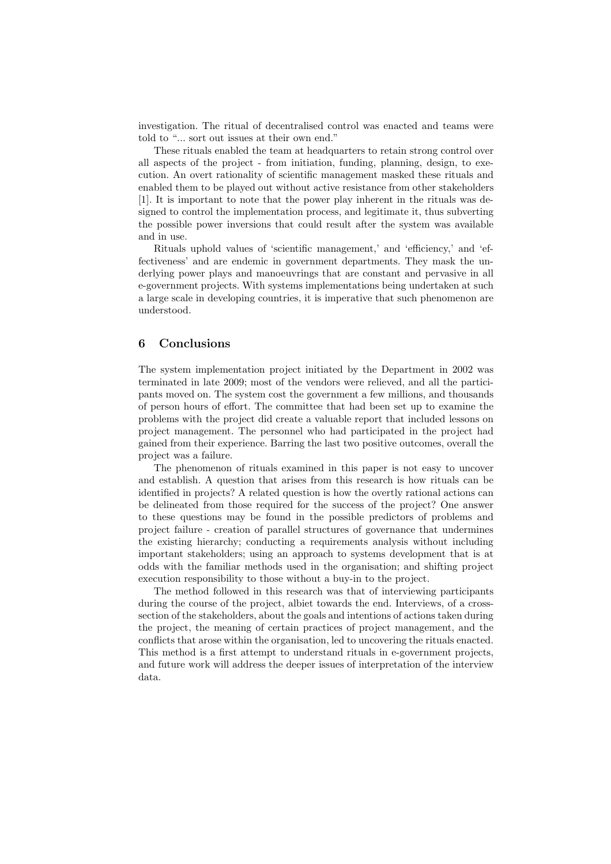investigation. The ritual of decentralised control was enacted and teams were told to "... sort out issues at their own end."

These rituals enabled the team at headquarters to retain strong control over all aspects of the project - from initiation, funding, planning, design, to execution. An overt rationality of scientific management masked these rituals and enabled them to be played out without active resistance from other stakeholders [1]. It is important to note that the power play inherent in the rituals was designed to control the implementation process, and legitimate it, thus subverting the possible power inversions that could result after the system was available and in use.

Rituals uphold values of 'scientific management,' and 'efficiency,' and 'effectiveness' and are endemic in government departments. They mask the underlying power plays and manoeuvrings that are constant and pervasive in all e-government projects. With systems implementations being undertaken at such a large scale in developing countries, it is imperative that such phenomenon are understood.

# 6 Conclusions

The system implementation project initiated by the Department in 2002 was terminated in late 2009; most of the vendors were relieved, and all the participants moved on. The system cost the government a few millions, and thousands of person hours of effort. The committee that had been set up to examine the problems with the project did create a valuable report that included lessons on project management. The personnel who had participated in the project had gained from their experience. Barring the last two positive outcomes, overall the project was a failure.

The phenomenon of rituals examined in this paper is not easy to uncover and establish. A question that arises from this research is how rituals can be identified in projects? A related question is how the overtly rational actions can be delineated from those required for the success of the project? One answer to these questions may be found in the possible predictors of problems and project failure - creation of parallel structures of governance that undermines the existing hierarchy; conducting a requirements analysis without including important stakeholders; using an approach to systems development that is at odds with the familiar methods used in the organisation; and shifting project execution responsibility to those without a buy-in to the project.

The method followed in this research was that of interviewing participants during the course of the project, albiet towards the end. Interviews, of a crosssection of the stakeholders, about the goals and intentions of actions taken during the project, the meaning of certain practices of project management, and the conflicts that arose within the organisation, led to uncovering the rituals enacted. This method is a first attempt to understand rituals in e-government projects, and future work will address the deeper issues of interpretation of the interview data.